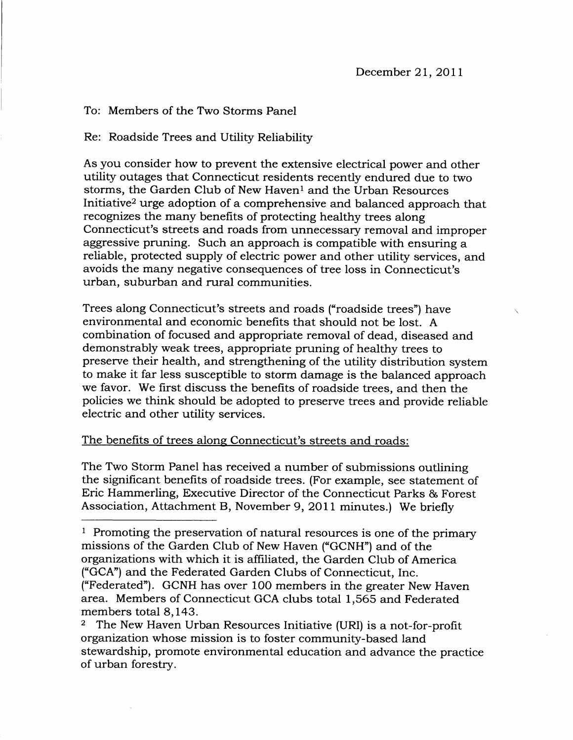## To: Members of the Two Storms Panel

Re: Roadside Trees and Utility Reliability

As you consider how to prevent the extensive electrical power and other utility outages that Connecticut residents recently endured due to two storms, the Garden Club of New Haven<sup>1</sup> and the Urban Resources Initiative2 urge adoption of a comprehensive and balanced approach that recognizes the many benefits of protecting heatthy trees along Connecticut's streets and roads from unnecessary removal and improper aggressive pruning. Such an approach is compatible with ensuring a reliable, protected supply of electric power and other utility services, and avoids the many negative consequences of tree loss in Connecticut's urban, suburban and rural communities.

Trees along Connecticut's streets and roads ("roadside trees") have environmental and economic benefits that should not be lost. A combination of focused and appropriate removal of dead, diseased and demonstrably weak trees, appropriate pruning of healthy trees to preserve their health, and strengthening of the utility distribution system to make it far less susceptible to storm damage is the balanced approach we favor. We first discuss the benefits of roadside trees, and then the policies we think should be adopted to preserve trees and provide reliable electric and other utility services.

## The benefits of trees along Connecticut's streets and roads:

The Two Storm Panel has received a number of submissions outlining the significant benefits of roadside trees. (For example, see statement of Eric Hammerling, Executive Director of the Connecticut Parks & Forest Association, Attachment B, November 9, 2011 minutes.) We briefly

<sup>&</sup>lt;sup>1</sup> Promoting the preservation of natural resources is one of the primary missions of the Garden Club of New Haven ("GCNH") and of the organizations with which it is affiliated, the Garden Club of America ("GCA") and the Federated Garden Clubs of Connecticut, Inc.

<sup>(&</sup>quot;Federated"). GCNH has over lOO members in the greater New Haven area. Members of Connecticut GCA clubs total 1,565 and Federated members total 8,143.

<sup>2</sup> The New Haven Urban Resources Initiative (URI) is a not-for-profit organization whose mission is to foster community-based land stewardship, promote environmental education and advance the practice of urban forestrv.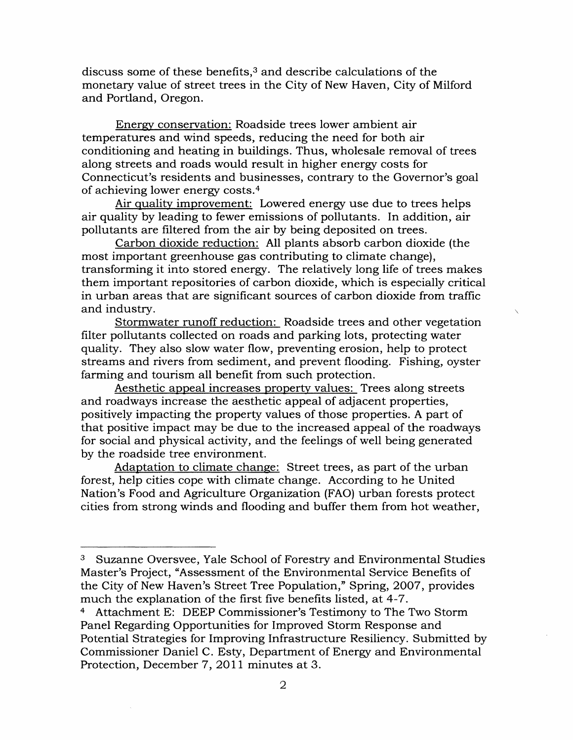discuss some of these benefits,<sup>3</sup> and describe calculations of the monetary value of street trees in the City of New Haven, City of Milford and Portland, Oregon.

Energy conservation: Roadside trees lower ambient air temperatures and wind speeds, reducing the need for both air conditioning and heating in buildings. Thus, wholesale removal of trees along streets and roads would result in higher energr costs for Connecticut's residents and businesses, contrary to the Governor's goal of achieving lower energy costs.<sup>4</sup>

Air quality improvement: Lowered energy use due to trees helps air quality by leading to fewer emissions of pollutants. In addition, air pollutants are filtered from the air by being deposited on trees.

Carbon dioxide reduction: All plants absorb carbon dioxide (the most important greenhouse gas contributing to climate change), transforming it into stored energy. The relatively long life of trees makes them important repositories of carbon dioxide, which is especially critical in urban areas that are significant sources of carbon dioxide from traffic and industry.

Stormwater runoff reduction: Roadside trees and other vegetation filter pollutants collected on roads and parking lots, protecting water quality. They also slow water flow, preventing erosion, help to protect streams and rivers from sediment, and prevent flooding. Fishing, oyster farming and tourism all benefit from such protection.

Aesthetic appeal increases property values: Trees along streets and roadways increase the aesthetic appeal of adjacent properties, positively impacting the property values of those properties. A part of that positive impact may be due to the increased appeal of the roadways for social and physical activity, and the feelings of well being generated by the roadside tree environment.

Adaptation to climate change: Street trees, as part of the urban forest, help cities cope with climate change. According to he United Nation's Food and Agriculture Organization (FAO) urban forests protect cities from strong winds and flooding and buffer them from hot weather,

<sup>3</sup> Suzanne Oversvee, Yale School of Forestry and Environmental Studies Master's Project, "Assessment of the Environmental Service Benefits of the City of New Haven's Street Tree Population," Spring, 2OO7, provides much the explanation of the first five benefits listed, at 4-7.

<sup>4</sup> Attachment E: DEEP Commissioner's Testimony to The Two Storm Panel Regarding Opportunities for Improved Storm Response and Potential Strategies for Improving Infrastructure Resiliency. Submitted by Commissioner Daniel C. Esty, Department of Energr and Environmental Protection, December 7, 2OI1 minutes at 3.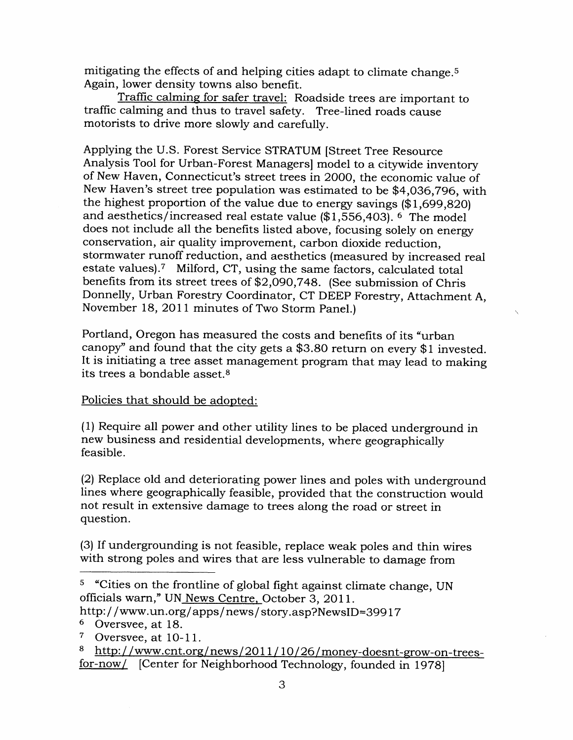mitigating the effects of and helping cities adapt to climate change.<sup>5</sup> Again, lower density towns also benefit.

Traffic calming for safer travel: Roadside trees are important to traffic calming and thus to travel safety. Tree-lined roads cause motorists to drive more slowly and carefully.

Applying the U.S. Forest Service STRATUM [Street Tree Resource Analysis Tool for Urban-Forest Managers] model to a citywide inventory of New Haven, Connecticut's street trees in 2OOO, the economic value of New Haven's street tree population was estimated to be \$4,O36,796, with the highest proportion of the value due to energy savings  $(\$1,699,820)$ and aesthetics/increased real estate value  $($1,556,403)$ . <sup>6</sup> The model does not include all the benefits listed above, focusing solely on energy conseryation, air quality improvement, carbon dioxide reduction, stormwater runoff reduction, and aesthetics (measured by increased real estate values).7 Milford, CT, using the same factors, calculated total benefits from its street trees of \$2,090,748. (See submission of Chris Donnelly, Urban Forestry Coordinator, CT DEEP Forestry, Attachment A November 18, 2011 minutes of Two Storm Panel.)

Portland, Oregon has measured the costs and benefits of its "urban canopy" and found that the city gets a \$3.80 return on every \$1 invested. It is initiating a tree asset management program that may lead to making its trees a bondable asset.8

## Policies that should be adopted:

(1) Require all power and other utility lines to be placed underground in new business and residential developments, where geographically feasible.

(2) Replace old and deteriorating power lines and poles with underground lines where geographically feasible, provided that the construction would not result in extensive damage to trees along the road or street in question.

(3) If undergrounding is not feasible, replace weak poles and thin wires with strong poles and wires that are less vulnerable to damage from

s "Cities on the frontline of global fight against climate change, UN officials warn," UN News Centre, October 3, 2011.

http://www.un.org/apps/news/story.asp?NewsID=39917

<sup>6</sup> Oversvee, at 18.

 $7$  Oversvee, at 10-11.

<sup>8</sup> http://www.cnt.org/news/2011/10/26/money-doesnt-grow-on-treesfor-now/ [Center for Neighborhood Technology, founded in 1978]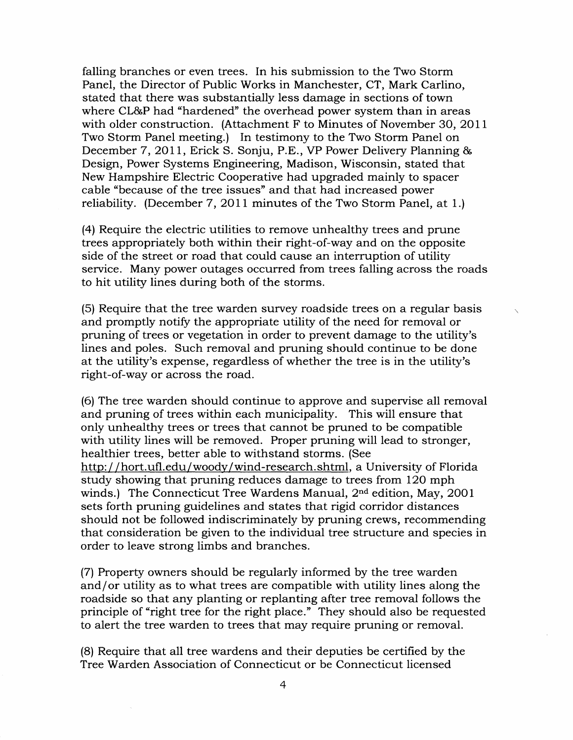falling branches or even trees. In his submission to the Two Storm Panel, the Director of Public Works in Manchester, CT, Mark Carlino, stated that there was substantially less damage in sections of town where CL&P had "hardened" the overhead power system than in areas with older construction. (Attachment F to Minutes of November 30, 2011 Two Storm Panel meeting.) In testimony to the Two Storm Panel on December 7, 2011, Erick S. Sonju, P.E., VP Power Delivery Planning & Design, Power Systems Engineering, Madison, Wisconsin, stated that New Hampshire Electric Cooperative had upgraded mainly to spacer cable "because of the tree issues" and that had increased power reliability. (December 7, 2011 minutes of the Two Storm Panel, at 1.)

(4) Require the electric utilities to remove unhealthy trees and prune trees appropriately both within their right-of-way and on the opposite side of the street or road that could cause an interruption of utility service. Many power outages occurred from trees falling across the roads to hit utility lines during both of the storms.

(5) Require that the tree warden survey roadside trees on a regular basis and promptly notify the appropriate utility of the need for removal or pruning of trees or vegetation in order to prevent damage to the utility's lines and poles. Such removal and pruning should continue to be done at the utility's expense, regardless of whether the tree is in the utility's right-of-way or across the road.

(6) The tree warden should continue to approve and supervise all removal and pruning of trees within each municipality. This will ensure that only unhealthy trees or trees that cannot be pruned to be compatible with utility lines will be removed. Proper pruning will lead to stronger, healthier trees, better able to withstand storms. (See http://hort.ufl.edu/woody/wind-research.shtml, a University of Florida study showing that pruning reduces damage to trees from I2O mph winds.) The Connecticut Tree Wardens Manual, 2nd edition, May, 2OOI sets forth pruning guidelines and states that rigid corridor distances should not be followed indiscriminately by pruning crews, recommending that consideration be given to the individual tree structure and species in order to leave strong limbs and branches.

(7) Property owners should be regularly informed by the tree warden and/or utility as to what trees are compatible with utility lines along the roadside so that any planting or replanting after tree removal follows the principle of "right tree for the right place." They should also be requested to alert the tree warden to trees that may require pruning or removal.

(8) Require that all tree wardens and their deputies be certified by the Tree Warden Association of Connecticut or be Connecticut licensed